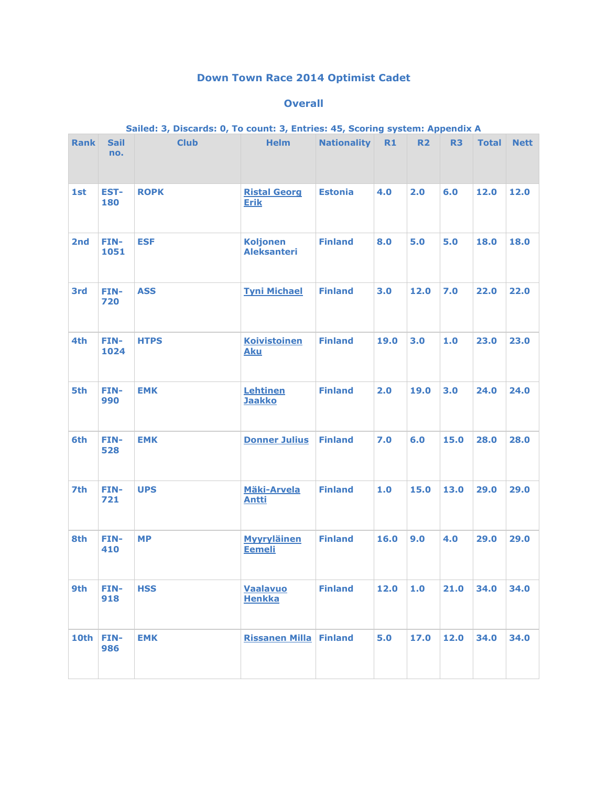## **Down Town Race 2014 Optimist Cadet**

## **Overall**

| Sailed: 3, Discards: 0, To count: 3, Entries: 45, Scoring system: Appendix A |                    |             |                                       |                    |      |           |                |              |             |  |
|------------------------------------------------------------------------------|--------------------|-------------|---------------------------------------|--------------------|------|-----------|----------------|--------------|-------------|--|
| <b>Rank</b>                                                                  | <b>Sail</b><br>no. | <b>Club</b> | <b>Helm</b>                           | <b>Nationality</b> | R1   | <b>R2</b> | R <sub>3</sub> | <b>Total</b> | <b>Nett</b> |  |
| 1st                                                                          | EST-<br>180        | <b>ROPK</b> | <b>Ristal Georg</b><br><b>Erik</b>    | <b>Estonia</b>     | 4.0  | 2.0       | 6.0            | 12.0         | 12.0        |  |
| 2nd                                                                          | FIN-<br>1051       | <b>ESF</b>  | <b>Koljonen</b><br><b>Aleksanteri</b> | <b>Finland</b>     | 8.0  | 5.0       | 5.0            | 18.0         | 18.0        |  |
| <b>3rd</b>                                                                   | FIN-<br>720        | <b>ASS</b>  | <b>Tyni Michael</b>                   | <b>Finland</b>     | 3.0  | 12.0      | 7.0            | 22.0         | 22.0        |  |
| 4th                                                                          | FIN-<br>1024       | <b>HTPS</b> | <b>Koivistoinen</b><br><b>Aku</b>     | <b>Finland</b>     | 19.0 | 3.0       | 1.0            | 23.0         | 23.0        |  |
| 5th                                                                          | FIN-<br>990        | <b>EMK</b>  | Lehtinen<br><b>Jaakko</b>             | <b>Finland</b>     | 2.0  | 19.0      | 3.0            | 24.0         | 24.0        |  |
| 6th                                                                          | FIN-<br>528        | <b>EMK</b>  | <b>Donner Julius</b>                  | <b>Finland</b>     | 7.0  | 6.0       | 15.0           | 28.0         | 28.0        |  |
| 7th                                                                          | FIN-<br>721        | <b>UPS</b>  | <b>Mäki-Arvela</b><br><b>Antti</b>    | <b>Finland</b>     | 1.0  | 15.0      | 13.0           | 29.0         | 29.0        |  |
| 8th                                                                          | FIN-<br>410        | <b>MP</b>   | <b>Myyryläinen</b><br><b>Eemeli</b>   | <b>Finland</b>     | 16.0 | 9.0       | 4.0            | 29.0         | 29.0        |  |
| 9th                                                                          | FIN-<br>918        | <b>HSS</b>  | Vaalavuo<br><b>Henkka</b>             | <b>Finland</b>     | 12.0 | 1.0       | 21.0           | 34.0         | 34.0        |  |
| 10th                                                                         | FIN-<br>986        | <b>EMK</b>  | <b>Rissanen Milla Finland</b>         |                    | 5.0  | 17.0      | 12.0           | 34.0         | 34.0        |  |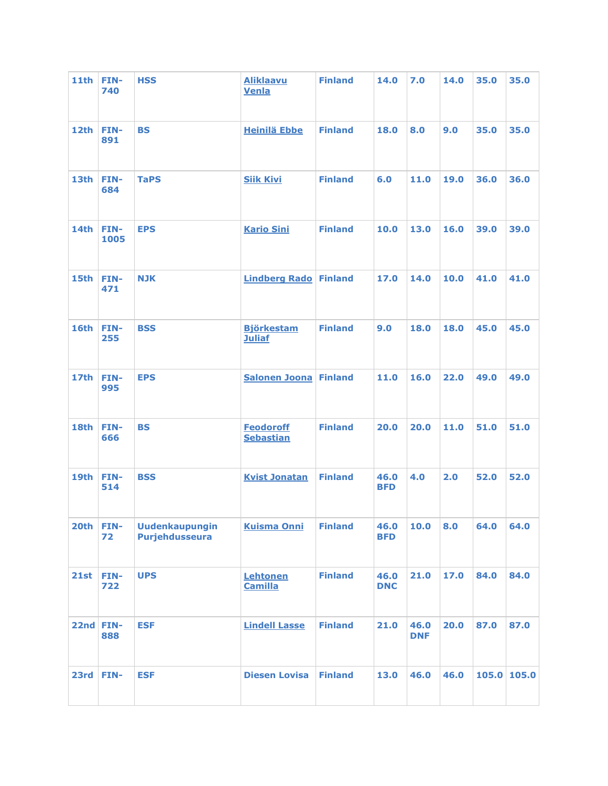| <b>11th</b> | FIN-<br>740  | <b>HSS</b>                              | <b>Aliklaavu</b><br>Venla            | <b>Finland</b> | 14.0               | 7.0                | 14.0 | 35.0        | 35.0 |
|-------------|--------------|-----------------------------------------|--------------------------------------|----------------|--------------------|--------------------|------|-------------|------|
| 12th        | FIN-<br>891  | <b>BS</b>                               | <b>Heinilä Ebbe</b>                  | <b>Finland</b> | 18.0               | 8.0                | 9.0  | 35.0        | 35.0 |
| 13th        | FIN-<br>684  | <b>TaPS</b>                             | <b>Siik Kivi</b>                     | <b>Finland</b> | 6.0                | 11.0               | 19.0 | 36.0        | 36.0 |
| 14th        | FIN-<br>1005 | <b>EPS</b>                              | <b>Kario Sini</b>                    | <b>Finland</b> | 10.0               | 13.0               | 16.0 | 39.0        | 39.0 |
| <b>15th</b> | FIN-<br>471  | <b>NJK</b>                              | <b>Lindberg Rado Finland</b>         |                | 17.0               | 14.0               | 10.0 | 41.0        | 41.0 |
| 16th        | FIN-<br>255  | <b>BSS</b>                              | <b>Björkestam</b><br><b>Juliaf</b>   | <b>Finland</b> | 9.0                | 18.0               | 18.0 | 45.0        | 45.0 |
| <b>17th</b> | FIN-<br>995  | <b>EPS</b>                              | <b>Salonen Joona Finland</b>         |                | 11.0               | 16.0               | 22.0 | 49.0        | 49.0 |
| 18th        | FIN-<br>666  | <b>BS</b>                               | <b>Feodoroff</b><br><b>Sebastian</b> | <b>Finland</b> | 20.0               | 20.0               | 11.0 | 51.0        | 51.0 |
| 19th        | FIN-<br>514  | <b>BSS</b>                              | <b>Kvist Jonatan</b>                 | <b>Finland</b> | 46.0<br><b>BFD</b> | 4.0                | 2.0  | 52.0        | 52.0 |
| 20th        | FIN-<br>72   | <b>Uudenkaupungin</b><br>Purjehdusseura | <b>Kuisma Onni</b>                   | <b>Finland</b> | 46.0<br><b>BFD</b> | 10.0               | 8.0  | 64.0        | 64.0 |
| 21st        | FIN-<br>722  | <b>UPS</b>                              | Lehtonen<br><b>Camilla</b>           | <b>Finland</b> | 46.0<br><b>DNC</b> | 21.0               | 17.0 | 84.0        | 84.0 |
| 22nd FIN-   | 888          | <b>ESF</b>                              | <b>Lindell Lasse</b>                 | <b>Finland</b> | 21.0               | 46.0<br><b>DNF</b> | 20.0 | 87.0        | 87.0 |
| 23rd        | FIN-         | <b>ESF</b>                              | <b>Diesen Lovisa</b>                 | <b>Finland</b> | 13.0               | 46.0               | 46.0 | 105.0 105.0 |      |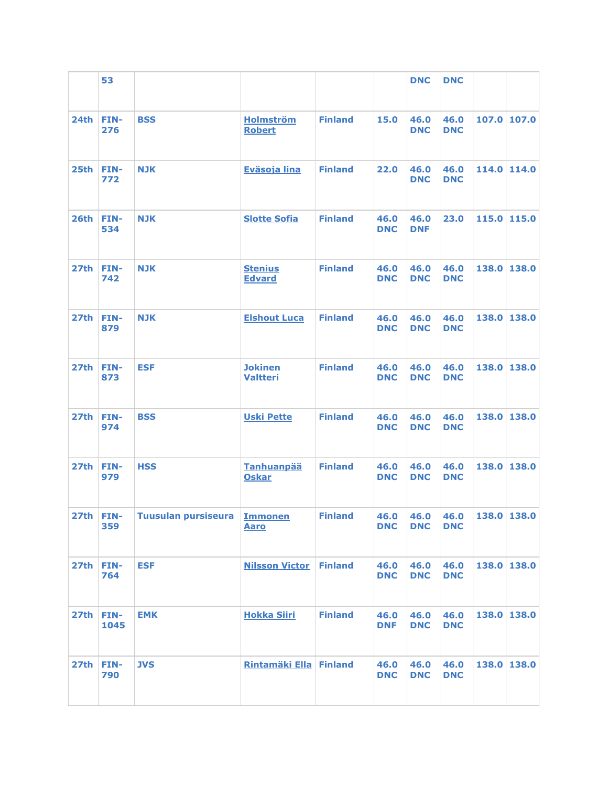|                  | 53          |                               |                                   |                |                    | <b>DNC</b>         | <b>DNC</b>         |             |             |
|------------------|-------------|-------------------------------|-----------------------------------|----------------|--------------------|--------------------|--------------------|-------------|-------------|
| 24th             | FIN-<br>276 | <b>BSS</b>                    | <b>Holmström</b><br><b>Robert</b> | <b>Finland</b> | 15.0               | 46.0<br><b>DNC</b> | 46.0<br><b>DNC</b> |             | 107.0 107.0 |
| 25th             | FIN-<br>772 | <b>NJK</b>                    | Eväsoja lina                      | <b>Finland</b> | 22.0               | 46.0<br><b>DNC</b> | 46.0<br><b>DNC</b> |             | 114.0 114.0 |
| 26th             | FIN-<br>534 | <b>NJK</b>                    | <b>Slotte Sofia</b>               | <b>Finland</b> | 46.0<br><b>DNC</b> | 46.0<br><b>DNF</b> | 23.0               |             | 115.0 115.0 |
| 27th             | FIN-<br>742 | <b>NJK</b>                    | <b>Stenius</b><br><b>Edvard</b>   | <b>Finland</b> | 46.0<br><b>DNC</b> | 46.0<br><b>DNC</b> | 46.0<br><b>DNC</b> |             | 138.0 138.0 |
| 27th             | FIN-<br>879 | <b>NJK</b>                    | <b>Elshout Luca</b>               | <b>Finland</b> | 46.0<br><b>DNC</b> | 46.0<br><b>DNC</b> | 46.0<br><b>DNC</b> |             | 138.0 138.0 |
| 27th             | FIN-<br>873 | <b>ESF</b>                    | <b>Jokinen</b><br><b>Valtteri</b> | <b>Finland</b> | 46.0<br><b>DNC</b> | 46.0<br><b>DNC</b> | 46.0<br><b>DNC</b> |             | 138.0 138.0 |
| 27th             | FIN-<br>974 | <b>BSS</b>                    | <b>Uski Pette</b>                 | <b>Finland</b> | 46.0<br><b>DNC</b> | 46.0<br><b>DNC</b> | 46.0<br><b>DNC</b> | 138.0 138.0 |             |
| <b>27th</b>      | FIN-<br>979 | <b>HSS</b>                    | <b>Tanhuanpää</b><br><b>Oskar</b> | <b>Finland</b> | 46.0<br><b>DNC</b> | 46.0<br><b>DNC</b> | 46.0<br><b>DNC</b> |             | 138.0 138.0 |
| 27th             | FIN-<br>359 | Tuusulan pursiseura   Immonen | <u>Aaro</u>                       | <b>Finland</b> | 46.0<br><b>DNC</b> | 46.0<br><b>DNC</b> | 46.0<br><b>DNC</b> | 138.0 138.0 |             |
| 27 <sub>th</sub> | FIN-<br>764 | <b>ESF</b>                    | <b>Nilsson Victor Finland</b>     |                | 46.0<br><b>DNC</b> | 46.0<br><b>DNC</b> | 46.0<br><b>DNC</b> | 138.0 138.0 |             |
| 27th FIN-        | 1045        | <b>EMK</b>                    | <b>Hokka Siiri</b>                | <b>Finland</b> | 46.0<br><b>DNF</b> | 46.0<br><b>DNC</b> | 46.0<br><b>DNC</b> |             | 138.0 138.0 |
| 27th             | FIN-<br>790 | <b>JVS</b>                    | Rintamäki Ella Finland            |                | 46.0<br><b>DNC</b> | 46.0<br><b>DNC</b> | 46.0<br><b>DNC</b> |             | 138.0 138.0 |